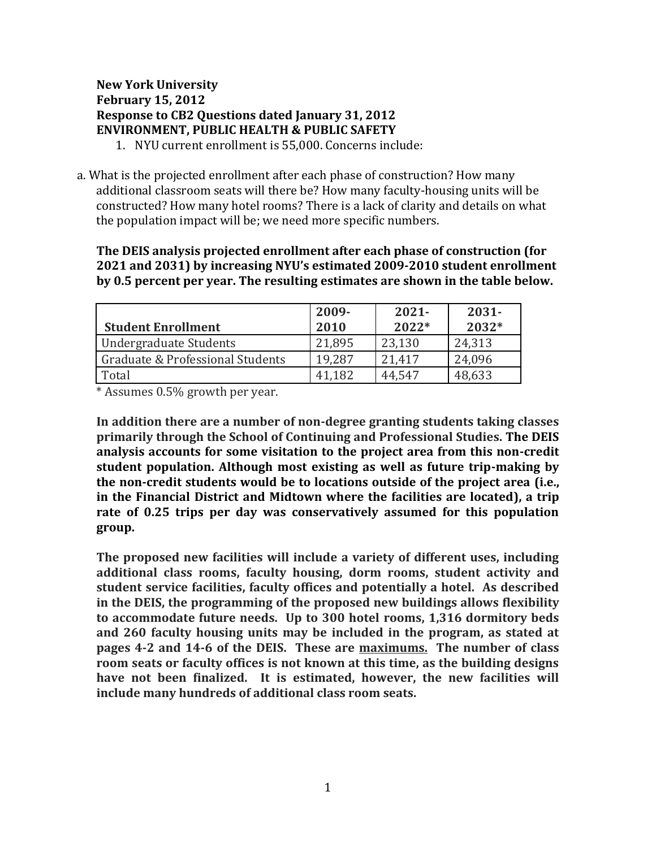# **New York University February 15, 2012 Response to CB2 Questions dated January 31, 2012 ENVIRONMENT, PUBLIC HEALTH & PUBLIC SAFETY**

- 1. NYU current enrollment is 55,000. Concerns include:
- a. What is the projected enrollment after each phase of construction? How many additional classroom seats will there be? How many faculty-housing units will be constructed? How many hotel rooms? There is a lack of clarity and details on what the population impact will be; we need more specific numbers.

**The DEIS analysis projected enrollment after each phase of construction (for 2021 and 2031) by increasing NYU's estimated 2009-2010 student enrollment by 0.5 percent per year. The resulting estimates are shown in the table below.**

| <b>Student Enrollment</b>        | 2009-<br>2010 | $2021 -$<br>$2022*$ | $2031 -$<br>$2032*$ |
|----------------------------------|---------------|---------------------|---------------------|
| Undergraduate Students           | 21,895        | 23,130              | 24,313              |
| Graduate & Professional Students | 19,287        | 21.417              | 24,096              |
| Total                            | 41.182        | 44,547              | 48,633              |

\* Assumes 0.5% growth per year.

**In addition there are a number of non-degree granting students taking classes primarily through the School of Continuing and Professional Studies. The DEIS analysis accounts for some visitation to the project area from this non-credit student population. Although most existing as well as future trip-making by the non-credit students would be to locations outside of the project area (i.e., in the Financial District and Midtown where the facilities are located), a trip rate of 0.25 trips per day was conservatively assumed for this population group.**

**The proposed new facilities will include a variety of different uses, including additional class rooms, faculty housing, dorm rooms, student activity and student service facilities, faculty offices and potentially a hotel. As described in the DEIS, the programming of the proposed new buildings allows flexibility to accommodate future needs. Up to 300 hotel rooms, 1,316 dormitory beds and 260 faculty housing units may be included in the program, as stated at pages 4-2 and 14-6 of the DEIS. These are maximums. The number of class room seats or faculty offices is not known at this time, as the building designs have not been finalized. It is estimated, however, the new facilities will include many hundreds of additional class room seats.**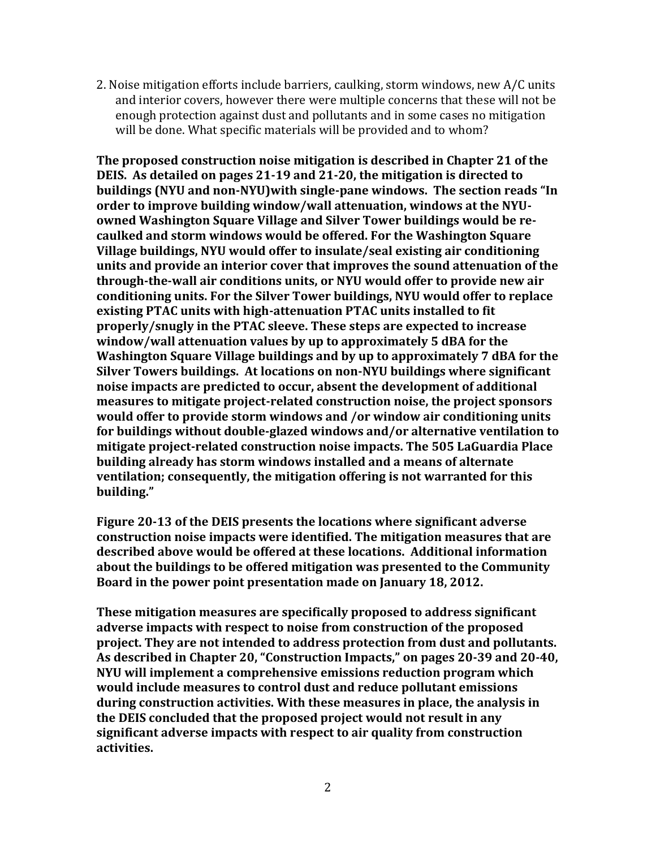2. Noise mitigation efforts include barriers, caulking, storm windows, new A/C units and interior covers, however there were multiple concerns that these will not be enough protection against dust and pollutants and in some cases no mitigation will be done. What specific materials will be provided and to whom?

**The proposed construction noise mitigation is described in Chapter 21 of the DEIS. As detailed on pages 21-19 and 21-20, the mitigation is directed to buildings (NYU and non-NYU)with single-pane windows. The section reads "In order to improve building window/wall attenuation, windows at the NYUowned Washington Square Village and Silver Tower buildings would be recaulked and storm windows would be offered. For the Washington Square Village buildings, NYU would offer to insulate/seal existing air conditioning units and provide an interior cover that improves the sound attenuation of the through-the-wall air conditions units, or NYU would offer to provide new air conditioning units. For the Silver Tower buildings, NYU would offer to replace existing PTAC units with high-attenuation PTAC units installed to fit properly/snugly in the PTAC sleeve. These steps are expected to increase window/wall attenuation values by up to approximately 5 dBA for the Washington Square Village buildings and by up to approximately 7 dBA for the Silver Towers buildings. At locations on non-NYU buildings where significant noise impacts are predicted to occur, absent the development of additional measures to mitigate project-related construction noise, the project sponsors would offer to provide storm windows and /or window air conditioning units for buildings without double-glazed windows and/or alternative ventilation to mitigate project-related construction noise impacts. The 505 LaGuardia Place building already has storm windows installed and a means of alternate ventilation; consequently, the mitigation offering is not warranted for this building."**

**Figure 20-13 of the DEIS presents the locations where significant adverse construction noise impacts were identified. The mitigation measures that are described above would be offered at these locations. Additional information about the buildings to be offered mitigation was presented to the Community Board in the power point presentation made on January 18, 2012.**

**These mitigation measures are specifically proposed to address significant adverse impacts with respect to noise from construction of the proposed project. They are not intended to address protection from dust and pollutants. As described in Chapter 20, "Construction Impacts," on pages 20-39 and 20-40, NYU will implement a comprehensive emissions reduction program which would include measures to control dust and reduce pollutant emissions during construction activities. With these measures in place, the analysis in the DEIS concluded that the proposed project would not result in any significant adverse impacts with respect to air quality from construction activities.**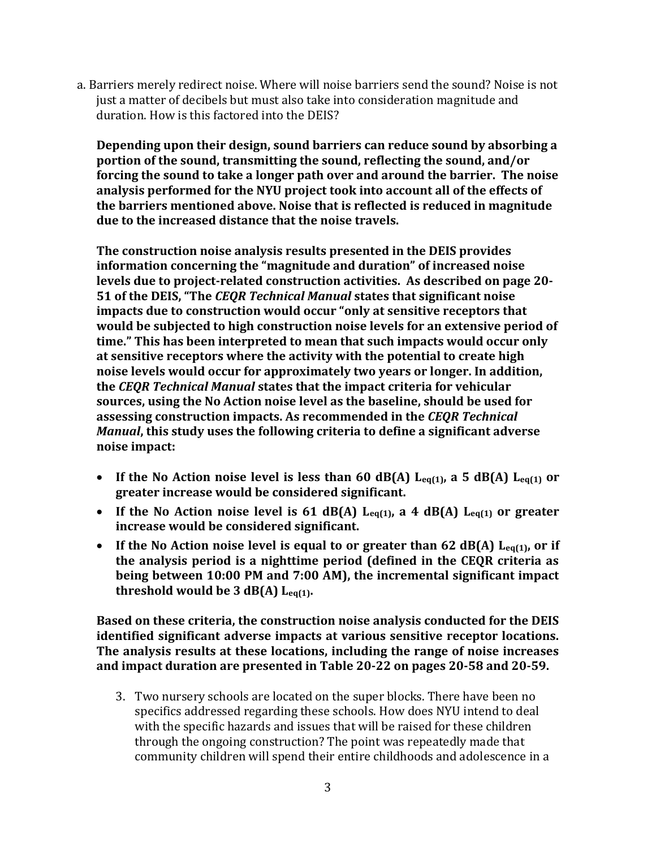a. Barriers merely redirect noise. Where will noise barriers send the sound? Noise is not just a matter of decibels but must also take into consideration magnitude and duration. How is this factored into the DEIS?

**Depending upon their design, sound barriers can reduce sound by absorbing a portion of the sound, transmitting the sound, reflecting the sound, and/or forcing the sound to take a longer path over and around the barrier. The noise analysis performed for the NYU project took into account all of the effects of the barriers mentioned above. Noise that is reflected is reduced in magnitude due to the increased distance that the noise travels.** 

**The construction noise analysis results presented in the DEIS provides information concerning the "magnitude and duration" of increased noise levels due to project-related construction activities. As described on page 20- 51 of the DEIS, "The** *CEQR Technical Manual* **states that significant noise impacts due to construction would occur "only at sensitive receptors that would be subjected to high construction noise levels for an extensive period of time." This has been interpreted to mean that such impacts would occur only at sensitive receptors where the activity with the potential to create high noise levels would occur for approximately two years or longer. In addition, the** *CEQR Technical Manual* **states that the impact criteria for vehicular sources, using the No Action noise level as the baseline, should be used for assessing construction impacts. As recommended in the** *CEQR Technical Manual***, this study uses the following criteria to define a significant adverse noise impact:**

- **If the No Action noise level is less than 60 dB(A) Leq(1), a 5 dB(A) Leq(1) or greater increase would be considered significant.**
- **If the No Action noise level is 61 dB(A) Leq(1), a 4 dB(A) Leq(1) or greater increase would be considered significant.**
- If the No Action noise level is equal to or greater than 62 dB(A) L<sub>eq(1)</sub>, or if **the analysis period is a nighttime period (defined in the CEQR criteria as being between 10:00 PM and 7:00 AM), the incremental significant impact threshold would be 3 dB(A) Leq(1).**

**Based on these criteria, the construction noise analysis conducted for the DEIS identified significant adverse impacts at various sensitive receptor locations. The analysis results at these locations, including the range of noise increases and impact duration are presented in Table 20-22 on pages 20-58 and 20-59.**

3. Two nursery schools are located on the super blocks. There have been no specifics addressed regarding these schools. How does NYU intend to deal with the specific hazards and issues that will be raised for these children through the ongoing construction? The point was repeatedly made that community children will spend their entire childhoods and adolescence in a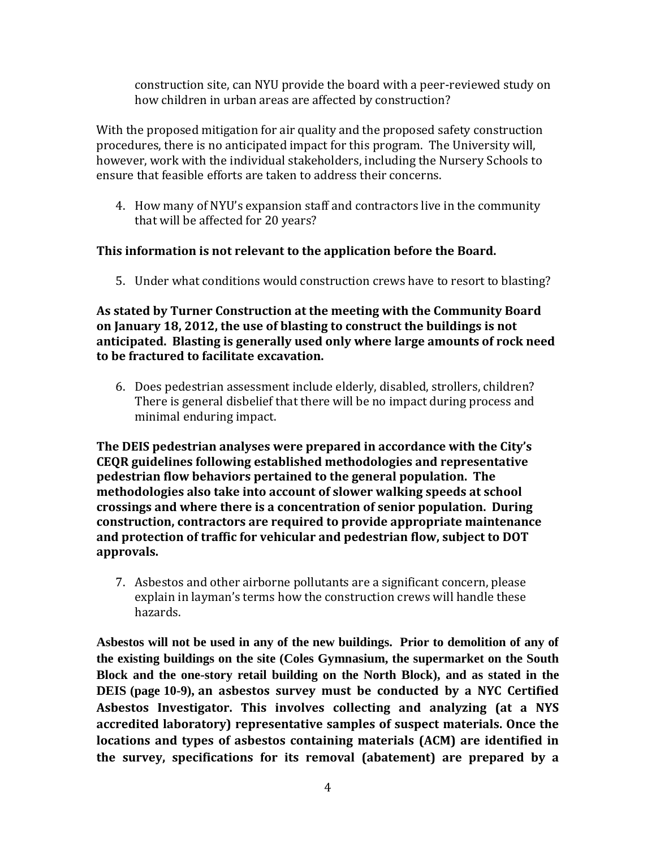construction site, can NYU provide the board with a peer-reviewed study on how children in urban areas are affected by construction?

With the proposed mitigation for air quality and the proposed safety construction procedures, there is no anticipated impact for this program. The University will, however, work with the individual stakeholders, including the Nursery Schools to ensure that feasible efforts are taken to address their concerns.

4. How many of NYU's expansion staff and contractors live in the community that will be affected for 20 years?

## **This information is not relevant to the application before the Board.**

5. Under what conditions would construction crews have to resort to blasting?

### **As stated by Turner Construction at the meeting with the Community Board on January 18, 2012, the use of blasting to construct the buildings is not anticipated. Blasting is generally used only where large amounts of rock need to be fractured to facilitate excavation.**

6. Does pedestrian assessment include elderly, disabled, strollers, children? There is general disbelief that there will be no impact during process and minimal enduring impact.

**The DEIS pedestrian analyses were prepared in accordance with the City's CEQR guidelines following established methodologies and representative pedestrian flow behaviors pertained to the general population. The methodologies also take into account of slower walking speeds at school crossings and where there is a concentration of senior population. During construction, contractors are required to provide appropriate maintenance and protection of traffic for vehicular and pedestrian flow, subject to DOT approvals.**

7. Asbestos and other airborne pollutants are a significant concern, please explain in layman's terms how the construction crews will handle these hazards.

**Asbestos will not be used in any of the new buildings. Prior to demolition of any of the existing buildings on the site (Coles Gymnasium, the supermarket on the South Block and the one-story retail building on the North Block), and as stated in the DEIS (page 10-9), an asbestos survey must be conducted by a NYC Certified Asbestos Investigator. This involves collecting and analyzing (at a NYS accredited laboratory) representative samples of suspect materials. Once the locations and types of asbestos containing materials (ACM) are identified in the survey, specifications for its removal (abatement) are prepared by a**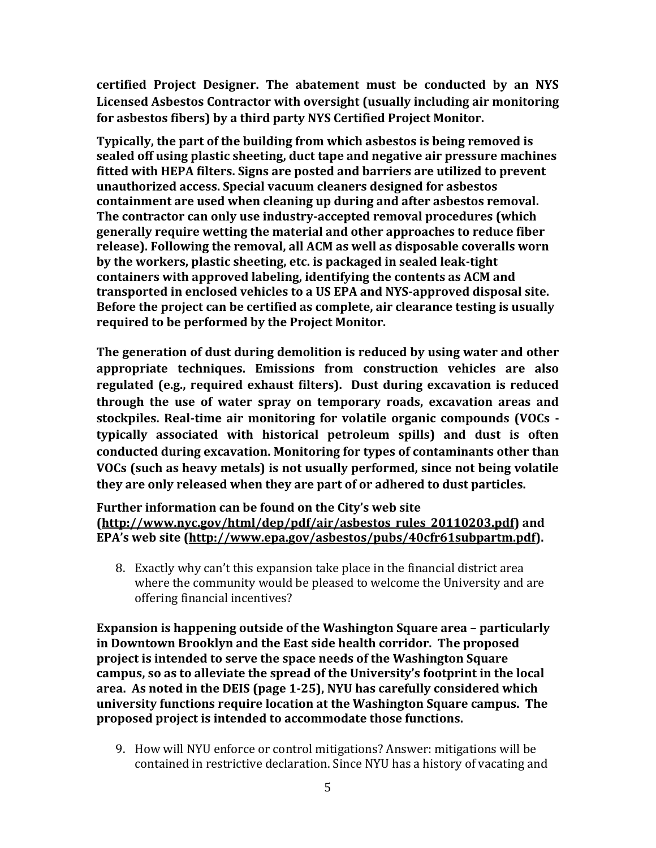**certified Project Designer. The abatement must be conducted by an NYS Licensed Asbestos Contractor with oversight (usually including air monitoring for asbestos fibers) by a third party NYS Certified Project Monitor.** 

**Typically, the part of the building from which asbestos is being removed is sealed off using plastic sheeting, duct tape and negative air pressure machines fitted with HEPA filters. Signs are posted and barriers are utilized to prevent unauthorized access. Special vacuum cleaners designed for asbestos containment are used when cleaning up during and after asbestos removal. The contractor can only use industry-accepted removal procedures (which generally require wetting the material and other approaches to reduce fiber release). Following the removal, all ACM as well as disposable coveralls worn by the workers, plastic sheeting, etc. is packaged in sealed leak-tight containers with approved labeling, identifying the contents as ACM and transported in enclosed vehicles to a US EPA and NYS-approved disposal site. Before the project can be certified as complete, air clearance testing is usually required to be performed by the Project Monitor.**

**The generation of dust during demolition is reduced by using water and other appropriate techniques. Emissions from construction vehicles are also regulated (e.g., required exhaust filters). Dust during excavation is reduced through the use of water spray on temporary roads, excavation areas and stockpiles. Real-time air monitoring for volatile organic compounds (VOCs typically associated with historical petroleum spills) and dust is often conducted during excavation. Monitoring for types of contaminants other than VOCs (such as heavy metals) is not usually performed, since not being volatile they are only released when they are part of or adhered to dust particles.**

#### **Further information can be found on the City's web site [\(http://www.nyc.gov/html/dep/pdf/air/asbestos\\_rules\\_20110203.pdf\)](http://www.nyc.gov/html/dep/pdf/air/asbestos_rules_20110203.pdf) and EPA's web site ([http://www.epa.gov/asbestos/pubs/40cfr61subpartm.pdf\)](http://www.epa.gov/asbestos/pubs/40cfr61subpartm.pdf).**

8. Exactly why can't this expansion take place in the financial district area where the community would be pleased to welcome the University and are offering financial incentives?

**Expansion is happening outside of the Washington Square area – particularly in Downtown Brooklyn and the East side health corridor. The proposed project is intended to serve the space needs of the Washington Square campus, so as to alleviate the spread of the University's footprint in the local area. As noted in the DEIS (page 1-25), NYU has carefully considered which university functions require location at the Washington Square campus. The proposed project is intended to accommodate those functions.** 

9. How will NYU enforce or control mitigations? Answer: mitigations will be contained in restrictive declaration. Since NYU has a history of vacating and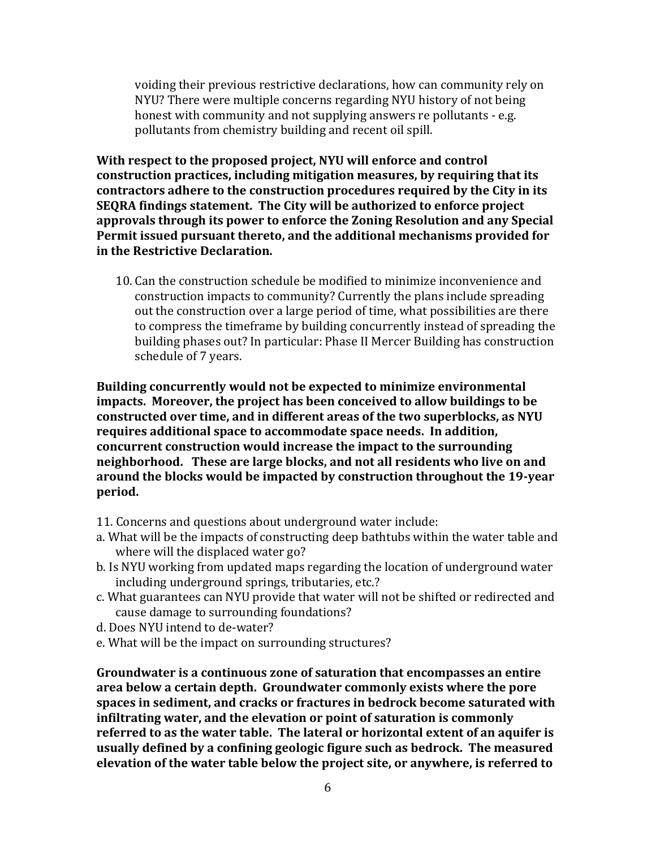voiding their previous restrictive declarations, how can community rely on NYU? There were multiple concerns regarding NYU history of not being honest with community and not supplying answers re pollutants - e.g. pollutants from chemistry building and recent oil spill.

**With respect to the proposed project, NYU will enforce and control construction practices, including mitigation measures, by requiring that its contractors adhere to the construction procedures required by the City in its SEQRA findings statement. The City will be authorized to enforce project approvals through its power to enforce the Zoning Resolution and any Special Permit issued pursuant thereto, and the additional mechanisms provided for in the Restrictive Declaration.**

10. Can the construction schedule be modified to minimize inconvenience and construction impacts to community? Currently the plans include spreading out the construction over a large period of time, what possibilities are there to compress the timeframe by building concurrently instead of spreading the building phases out? In particular: Phase II Mercer Building has construction schedule of 7 years.

**Building concurrently would not be expected to minimize environmental impacts. Moreover, the project has been conceived to allow buildings to be constructed over time, and in different areas of the two superblocks, as NYU requires additional space to accommodate space needs. In addition, concurrent construction would increase the impact to the surrounding neighborhood. These are large blocks, and not all residents who live on and around the blocks would be impacted by construction throughout the 19-year period.**

- 11. Concerns and questions about underground water include:
- a. What will be the impacts of constructing deep bathtubs within the water table and where will the displaced water go?
- b. Is NYU working from updated maps regarding the location of underground water including underground springs, tributaries, etc.?
- c. What guarantees can NYU provide that water will not be shifted or redirected and cause damage to surrounding foundations?
- d. Does NYU intend to de-water?
- e. What will be the impact on surrounding structures?

**Groundwater is a continuous zone of saturation that encompasses an entire area below a certain depth. Groundwater commonly exists where the pore spaces in sediment, and cracks or fractures in bedrock become saturated with infiltrating water, and the elevation or point of saturation is commonly referred to as the water table. The lateral or horizontal extent of an aquifer is usually defined by a confining geologic figure such as bedrock. The measured elevation of the water table below the project site, or anywhere, is referred to**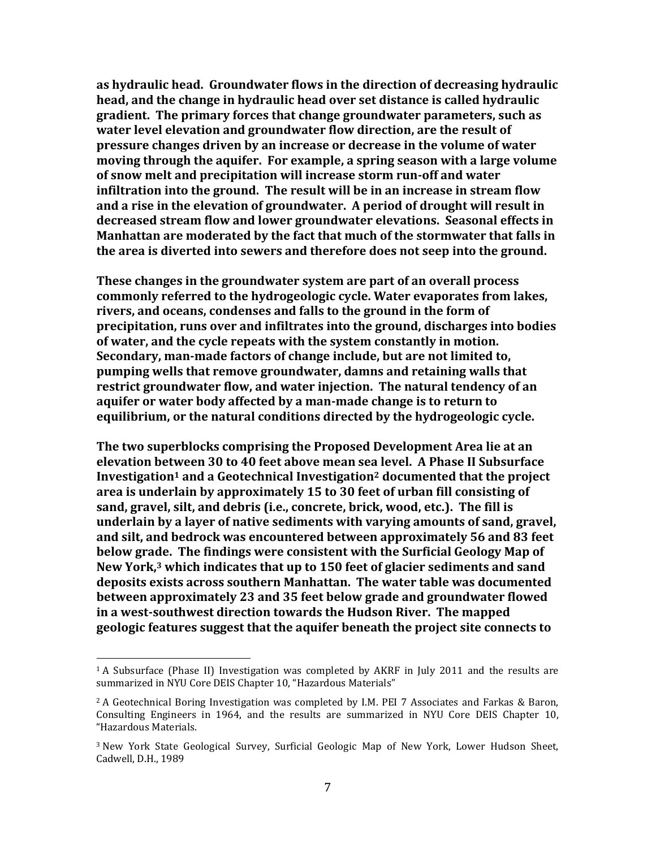**as hydraulic head. Groundwater flows in the direction of decreasing hydraulic head, and the change in hydraulic head over set distance is called hydraulic gradient. The primary forces that change groundwater parameters, such as water level elevation and groundwater flow direction, are the result of pressure changes driven by an increase or decrease in the volume of water moving through the aquifer. For example, a spring season with a large volume of snow melt and precipitation will increase storm run-off and water infiltration into the ground. The result will be in an increase in stream flow and a rise in the elevation of groundwater. A period of drought will result in decreased stream flow and lower groundwater elevations. Seasonal effects in Manhattan are moderated by the fact that much of the stormwater that falls in the area is diverted into sewers and therefore does not seep into the ground.**

**These changes in the groundwater system are part of an overall process commonly referred to the hydrogeologic cycle. Water evaporates from lakes, rivers, and oceans, condenses and falls to the ground in the form of precipitation, runs over and infiltrates into the ground, discharges into bodies of water, and the cycle repeats with the system constantly in motion. Secondary, man-made factors of change include, but are not limited to, pumping wells that remove groundwater, damns and retaining walls that restrict groundwater flow, and water injection. The natural tendency of an aquifer or water body affected by a man-made change is to return to equilibrium, or the natural conditions directed by the hydrogeologic cycle.** 

**The two superblocks comprising the Proposed Development Area lie at an elevation between 30 to 40 feet above mean sea level. A Phase II Subsurface Investigation<sup>1</sup> and a Geotechnical Investigation<sup>2</sup> documented that the project area is underlain by approximately 15 to 30 feet of urban fill consisting of sand, gravel, silt, and debris (i.e., concrete, brick, wood, etc.). The fill is underlain by a layer of native sediments with varying amounts of sand, gravel, and silt, and bedrock was encountered between approximately 56 and 83 feet below grade. The findings were consistent with the Surficial Geology Map of New York, <sup>3</sup> which indicates that up to 150 feet of glacier sediments and sand deposits exists across southern Manhattan. The water table was documented between approximately 23 and 35 feet below grade and groundwater flowed in a west-southwest direction towards the Hudson River. The mapped geologic features suggest that the aquifer beneath the project site connects to** 

 $\overline{a}$ 

<sup>&</sup>lt;sup>1</sup> A Subsurface (Phase II) Investigation was completed by AKRF in July 2011 and the results are summarized in NYU Core DEIS Chapter 10, "Hazardous Materials"

<sup>2</sup> A Geotechnical Boring Investigation was completed by I.M. PEI 7 Associates and Farkas & Baron, Consulting Engineers in 1964, and the results are summarized in NYU Core DEIS Chapter 10, "Hazardous Materials.

<sup>3</sup> New York State Geological Survey, Surficial Geologic Map of New York, Lower Hudson Sheet, Cadwell, D.H., 1989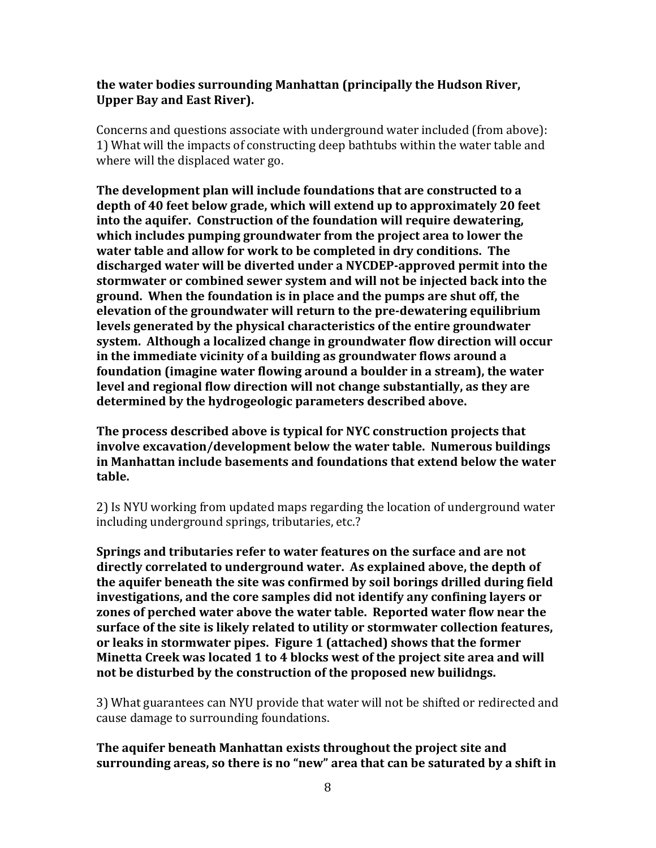#### **the water bodies surrounding Manhattan (principally the Hudson River, Upper Bay and East River).**

Concerns and questions associate with underground water included (from above): 1) What will the impacts of constructing deep bathtubs within the water table and where will the displaced water go.

**The development plan will include foundations that are constructed to a depth of 40 feet below grade, which will extend up to approximately 20 feet into the aquifer. Construction of the foundation will require dewatering, which includes pumping groundwater from the project area to lower the water table and allow for work to be completed in dry conditions. The discharged water will be diverted under a NYCDEP-approved permit into the stormwater or combined sewer system and will not be injected back into the ground. When the foundation is in place and the pumps are shut off, the elevation of the groundwater will return to the pre-dewatering equilibrium levels generated by the physical characteristics of the entire groundwater system. Although a localized change in groundwater flow direction will occur in the immediate vicinity of a building as groundwater flows around a foundation (imagine water flowing around a boulder in a stream), the water level and regional flow direction will not change substantially, as they are determined by the hydrogeologic parameters described above.**

**The process described above is typical for NYC construction projects that involve excavation/development below the water table. Numerous buildings in Manhattan include basements and foundations that extend below the water table.**

2) Is NYU working from updated maps regarding the location of underground water including underground springs, tributaries, etc.?

**Springs and tributaries refer to water features on the surface and are not directly correlated to underground water. As explained above, the depth of the aquifer beneath the site was confirmed by soil borings drilled during field investigations, and the core samples did not identify any confining layers or zones of perched water above the water table. Reported water flow near the surface of the site is likely related to utility or stormwater collection features, or leaks in stormwater pipes. Figure 1 (attached) shows that the former Minetta Creek was located 1 to 4 blocks west of the project site area and will not be disturbed by the construction of the proposed new builidngs.** 

3) What guarantees can NYU provide that water will not be shifted or redirected and cause damage to surrounding foundations.

**The aquifer beneath Manhattan exists throughout the project site and surrounding areas, so there is no "new" area that can be saturated by a shift in**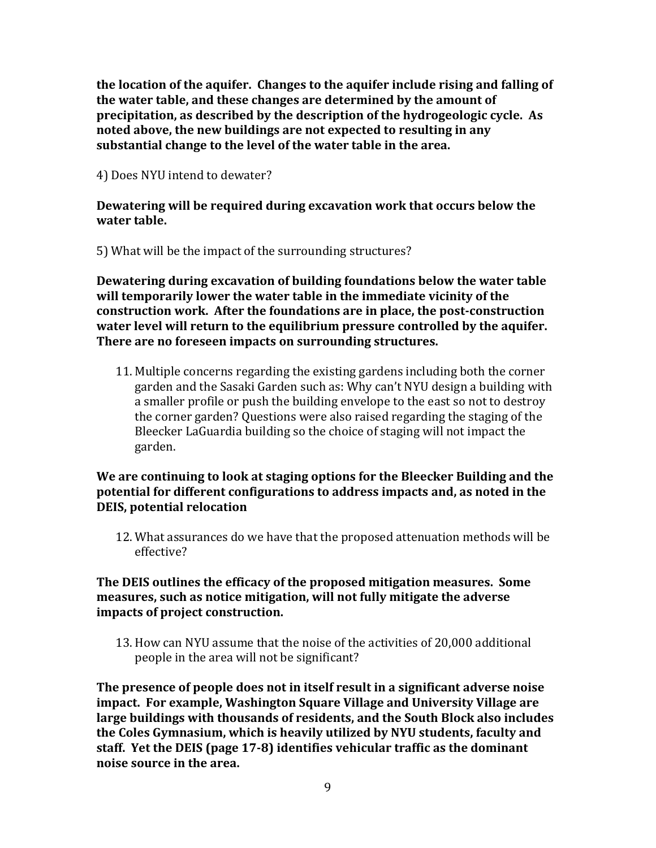**the location of the aquifer. Changes to the aquifer include rising and falling of the water table, and these changes are determined by the amount of precipitation, as described by the description of the hydrogeologic cycle. As noted above, the new buildings are not expected to resulting in any substantial change to the level of the water table in the area.**

4) Does NYU intend to dewater?

## **Dewatering will be required during excavation work that occurs below the water table.**

5) What will be the impact of the surrounding structures?

**Dewatering during excavation of building foundations below the water table will temporarily lower the water table in the immediate vicinity of the construction work. After the foundations are in place, the post-construction water level will return to the equilibrium pressure controlled by the aquifer. There are no foreseen impacts on surrounding structures.** 

11. Multiple concerns regarding the existing gardens including both the corner garden and the Sasaki Garden such as: Why can't NYU design a building with a smaller profile or push the building envelope to the east so not to destroy the corner garden? Questions were also raised regarding the staging of the Bleecker LaGuardia building so the choice of staging will not impact the garden.

### **We are continuing to look at staging options for the Bleecker Building and the potential for different configurations to address impacts and, as noted in the DEIS, potential relocation**

12. What assurances do we have that the proposed attenuation methods will be effective?

## **The DEIS outlines the efficacy of the proposed mitigation measures. Some measures, such as notice mitigation, will not fully mitigate the adverse impacts of project construction.**

13. How can NYU assume that the noise of the activities of 20,000 additional people in the area will not be significant?

**The presence of people does not in itself result in a significant adverse noise impact. For example, Washington Square Village and University Village are large buildings with thousands of residents, and the South Block also includes the Coles Gymnasium, which is heavily utilized by NYU students, faculty and staff. Yet the DEIS (page 17-8) identifies vehicular traffic as the dominant noise source in the area.**